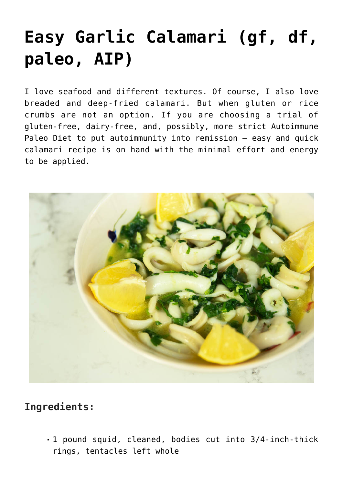## **[Easy Garlic Calamari \(gf, df,](https://sproutshealth.com/easy-garlic-calamari/) [paleo, AIP\)](https://sproutshealth.com/easy-garlic-calamari/)**

I love seafood and different textures. Of course, I also love breaded and deep-fried calamari. But when gluten or rice crumbs are not an option. If you are choosing a trial of gluten-free, dairy-free, and, possibly, more strict Autoimmune Paleo Diet to put autoimmunity into remission – easy and quick calamari recipe is on hand with the minimal effort and energy to be applied.



## **Ingredients:**

1 pound squid, cleaned, bodies cut into 3/4-inch-thick rings, tentacles left whole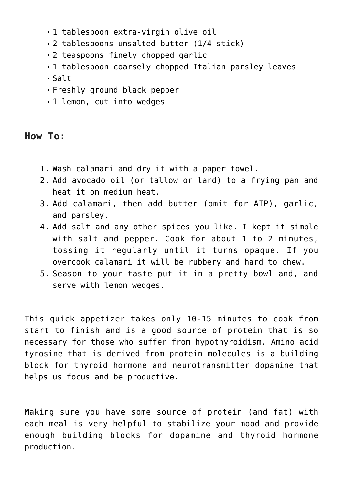- 1 tablespoon extra-virgin olive oil
- 2 tablespoons unsalted butter (1/4 stick)
- 2 teaspoons finely chopped garlic
- 1 tablespoon coarsely chopped Italian parsley leaves
- $Salt$
- Freshly ground black pepper
- 1 lemon, cut into wedges

## **How To:**

- 1. Wash calamari and dry it with a paper towel.
- 2. Add avocado oil (or tallow or lard) to a frying pan and heat it on medium heat.
- 3. Add calamari, then add butter (omit for AIP), garlic, and parsley.
- 4. Add salt and any other spices you like. I kept it simple with salt and pepper. Cook for about 1 to 2 minutes, tossing it regularly until it turns opaque. If you overcook calamari it will be rubbery and hard to chew.
- 5. Season to your taste put it in a pretty bowl and, and serve with lemon wedges.

This quick appetizer takes only 10-15 minutes to cook from start to finish and is a good source of protein that is so necessary for those who suffer from hypothyroidism. Amino acid tyrosine that is derived from protein molecules is a building block for thyroid hormone and neurotransmitter dopamine that helps us focus and be productive.

Making sure you have some source of protein (and fat) with each meal is very helpful to stabilize your mood and provide enough building blocks for dopamine and thyroid hormone production.